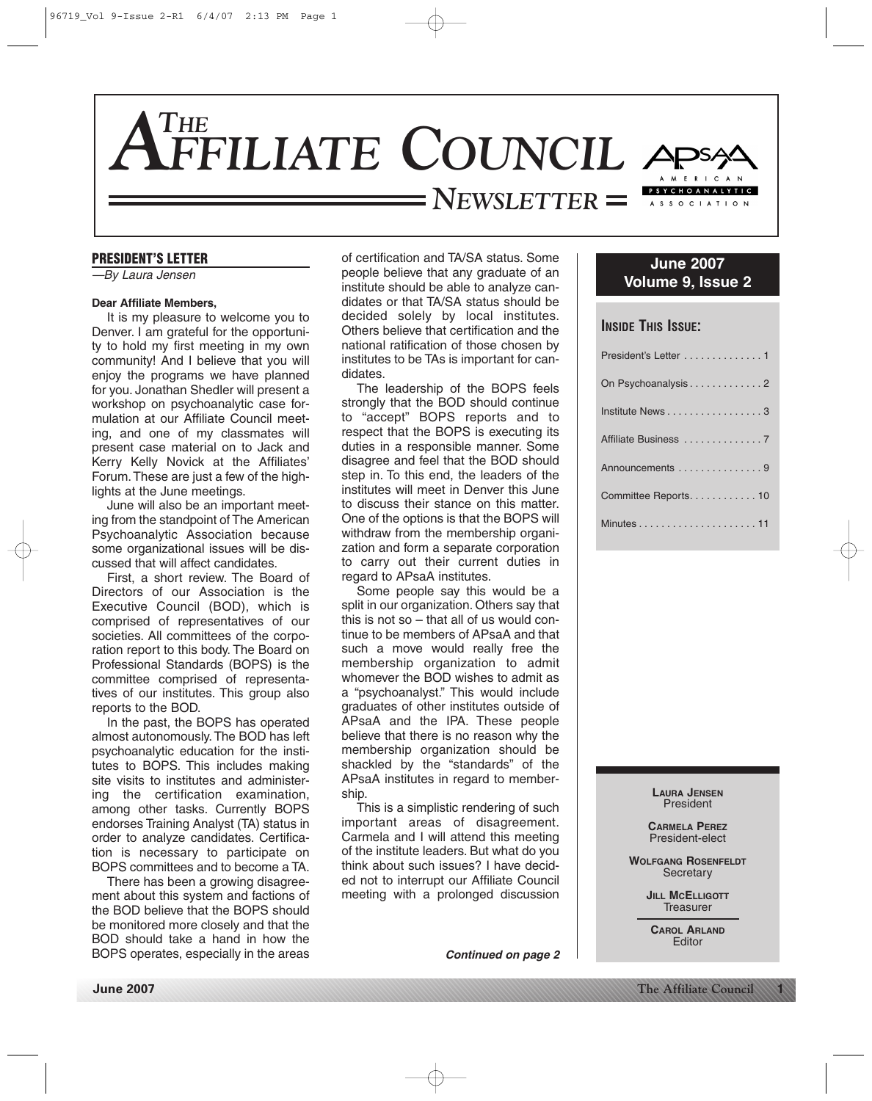

#### **PRESIDENT'S LETTER**

—By Laura Jensen

#### **Dear Affiliate Members,**

It is my pleasure to welcome you to Denver. I am grateful for the opportunity to hold my first meeting in my own community! And I believe that you will enjoy the programs we have planned for you. Jonathan Shedler will present a workshop on psychoanalytic case formulation at our Affiliate Council meeting, and one of my classmates will present case material on to Jack and Kerry Kelly Novick at the Affiliates' Forum. These are just a few of the highlights at the June meetings.

June will also be an important meeting from the standpoint of The American Psychoanalytic Association because some organizational issues will be discussed that will affect candidates.

First, a short review. The Board of Directors of our Association is the Executive Council (BOD), which is comprised of representatives of our societies. All committees of the corporation report to this body. The Board on Professional Standards (BOPS) is the committee comprised of representatives of our institutes. This group also reports to the BOD.

In the past, the BOPS has operated almost autonomously. The BOD has left psychoanalytic education for the institutes to BOPS. This includes making site visits to institutes and administering the certification examination, among other tasks. Currently BOPS endorses Training Analyst (TA) status in order to analyze candidates. Certification is necessary to participate on BOPS committees and to become a TA.

There has been a growing disagreement about this system and factions of the BOD believe that the BOPS should be monitored more closely and that the BOD should take a hand in how the BOPS operates, especially in the areas of certification and TA/SA status. Some people believe that any graduate of an institute should be able to analyze candidates or that TA/SA status should be decided solely by local institutes. Others believe that certification and the national ratification of those chosen by institutes to be TAs is important for candidates.

The leadership of the BOPS feels strongly that the BOD should continue to "accept" BOPS reports and to respect that the BOPS is executing its duties in a responsible manner. Some disagree and feel that the BOD should step in. To this end, the leaders of the institutes will meet in Denver this June to discuss their stance on this matter. One of the options is that the BOPS will withdraw from the membership organization and form a separate corporation to carry out their current duties in regard to APsaA institutes.

Some people say this would be a split in our organization. Others say that this is not so – that all of us would continue to be members of APsaA and that such a move would really free the membership organization to admit whomever the BOD wishes to admit as a "psychoanalyst." This would include graduates of other institutes outside of APsaA and the IPA. These people believe that there is no reason why the membership organization should be shackled by the "standards" of the APsaA institutes in regard to membership.

This is a simplistic rendering of such important areas of disagreement. Carmela and I will attend this meeting of the institute leaders. But what do you think about such issues? I have decided not to interrupt our Affiliate Council meeting with a prolonged discussion

*Continued on page 2*

# **June 2007 Volume 9, Issue 2**

# **INSIDE THIS ISSUE:**

| President's Letter 1  |
|-----------------------|
| On Psychoanalysis2    |
| Institute News3       |
|                       |
| Announcements 9       |
| Committee Reports. 10 |
|                       |

**LAURA JENSEN** President

**CARMELA PEREZ** President-elect

**WOLFGANG ROSENFELDT Secretary** 

> **JILL MCELLIGOTT Treasurer**

**CAROL ARLAND** Editor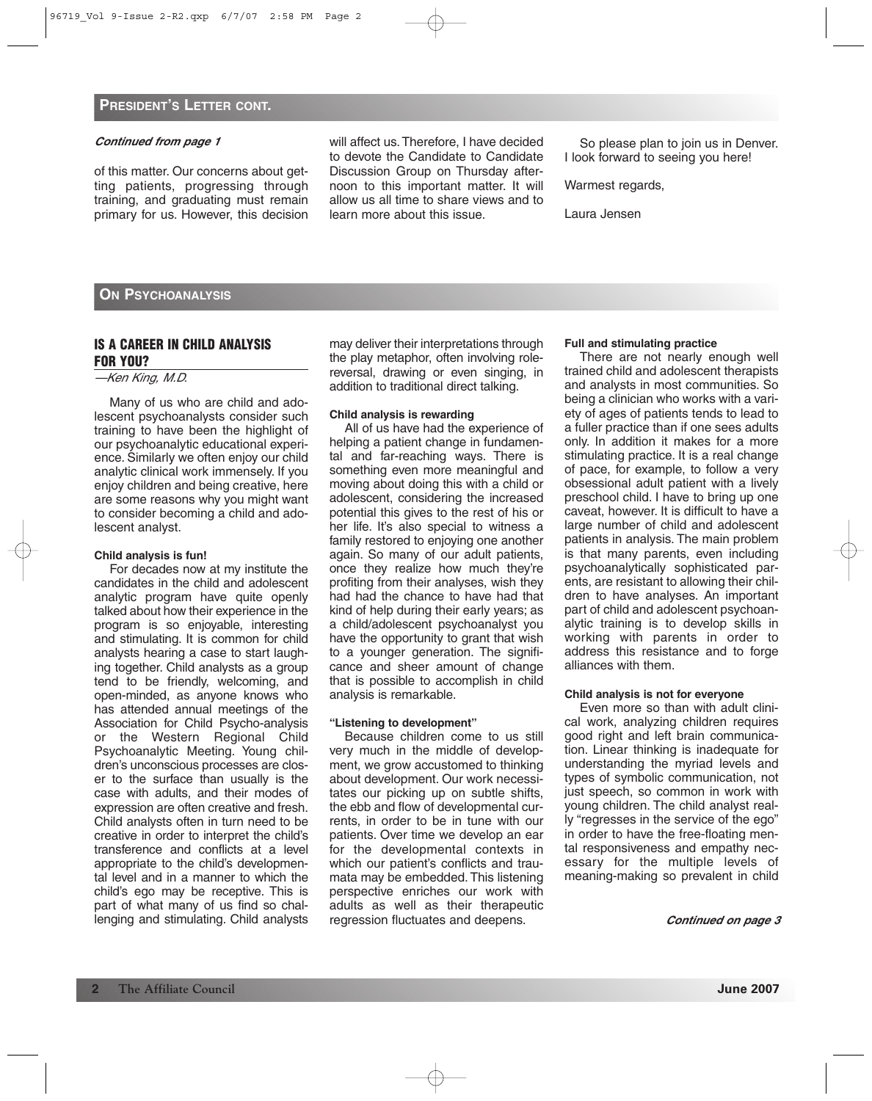of this matter. Our concerns about getting patients, progressing through training, and graduating must remain primary for us. However, this decision will affect us.Therefore, I have decided to devote the Candidate to Candidate Discussion Group on Thursday afternoon to this important matter. It will allow us all time to share views and to learn more about this issue.

So please plan to join us in Denver. I look forward to seeing you here!

Warmest regards,

Laura Jensen

#### **ON PSYCHOANALYSIS**

#### **IS A CAREER IN CHILD ANALYSIS FOR YOU?**

#### —Ken King, M.D.

Many of us who are child and adolescent psychoanalysts consider such training to have been the highlight of our psychoanalytic educational experience. Similarly we often enjoy our child analytic clinical work immensely. If you enjoy children and being creative, here are some reasons why you might want to consider becoming a child and adolescent analyst.

#### **Child analysis is fun!**

For decades now at my institute the candidates in the child and adolescent analytic program have quite openly talked about how their experience in the program is so enjoyable, interesting and stimulating. It is common for child analysts hearing a case to start laughing together. Child analysts as a group tend to be friendly, welcoming, and open-minded, as anyone knows who has attended annual meetings of the Association for Child Psycho-analysis or the Western Regional Child Psychoanalytic Meeting. Young children's unconscious processes are closer to the surface than usually is the case with adults, and their modes of expression are often creative and fresh. Child analysts often in turn need to be creative in order to interpret the child's transference and conflicts at a level appropriate to the child's developmental level and in a manner to which the child's ego may be receptive. This is part of what many of us find so challenging and stimulating. Child analysts may deliver their interpretations through the play metaphor, often involving rolereversal, drawing or even singing, in addition to traditional direct talking.

#### **Child analysis is rewarding**

All of us have had the experience of helping a patient change in fundamental and far-reaching ways. There is something even more meaningful and moving about doing this with a child or adolescent, considering the increased potential this gives to the rest of his or her life. It's also special to witness a family restored to enjoying one another again. So many of our adult patients, once they realize how much they're profiting from their analyses, wish they had had the chance to have had that kind of help during their early years; as a child/adolescent psychoanalyst you have the opportunity to grant that wish to a younger generation. The significance and sheer amount of change that is possible to accomplish in child analysis is remarkable.

#### **"Listening to development"**

Because children come to us still very much in the middle of development, we grow accustomed to thinking about development. Our work necessitates our picking up on subtle shifts, the ebb and flow of developmental currents, in order to be in tune with our patients. Over time we develop an ear for the developmental contexts in which our patient's conflicts and traumata may be embedded. This listening perspective enriches our work with adults as well as their therapeutic regression fluctuates and deepens.

#### **Full and stimulating practice**

There are not nearly enough well trained child and adolescent therapists and analysts in most communities. So being a clinician who works with a variety of ages of patients tends to lead to a fuller practice than if one sees adults only. In addition it makes for a more stimulating practice. It is a real change of pace, for example, to follow a very obsessional adult patient with a lively preschool child. I have to bring up one caveat, however. It is difficult to have a large number of child and adolescent patients in analysis. The main problem is that many parents, even including psychoanalytically sophisticated parents, are resistant to allowing their children to have analyses. An important part of child and adolescent psychoanalytic training is to develop skills in working with parents in order to address this resistance and to forge alliances with them.

#### **Child analysis is not for everyone**

Even more so than with adult clinical work, analyzing children requires good right and left brain communication. Linear thinking is inadequate for understanding the myriad levels and types of symbolic communication, not just speech, so common in work with young children. The child analyst really "regresses in the service of the ego" in order to have the free-floating mental responsiveness and empathy necessary for the multiple levels of meaning-making so prevalent in child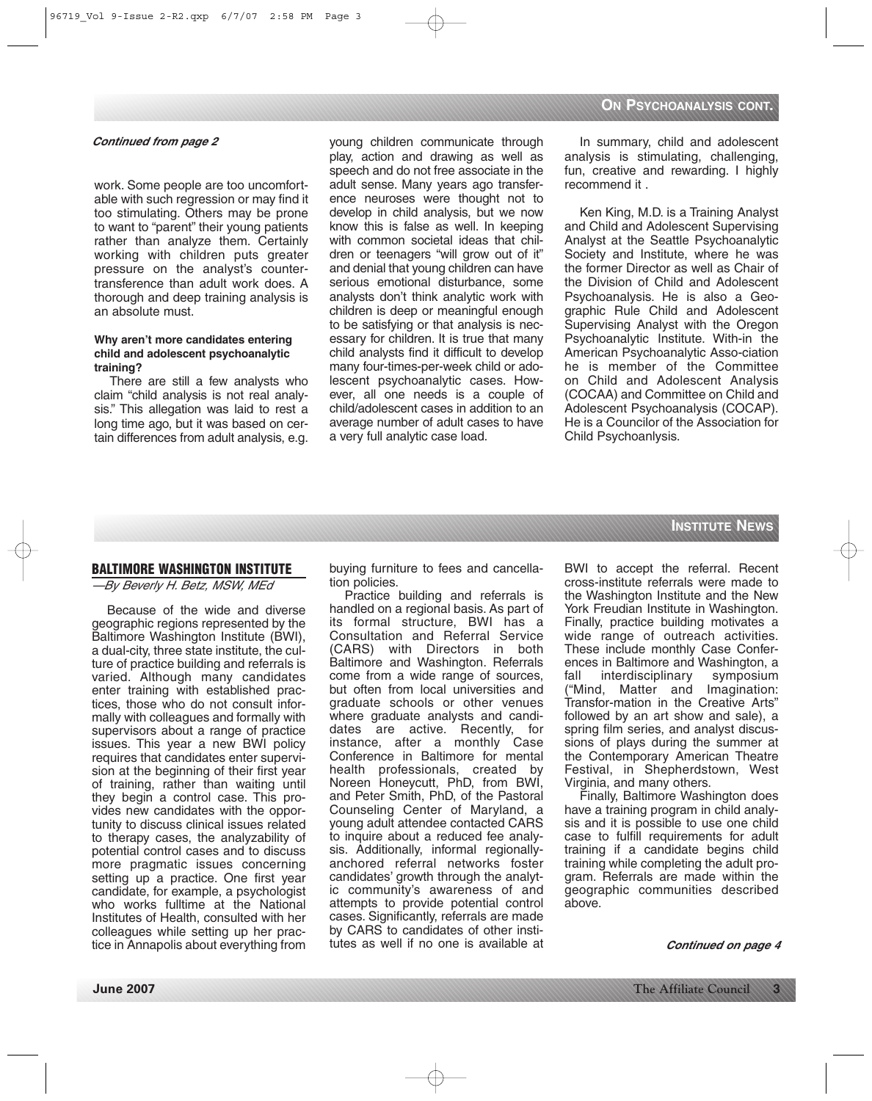work. Some people are too uncomfortable with such regression or may find it too stimulating. Others may be prone to want to "parent" their young patients rather than analyze them. Certainly working with children puts greater pressure on the analyst's countertransference than adult work does. A thorough and deep training analysis is an absolute must.

#### **Why aren't more candidates entering child and adolescent psychoanalytic training?**

There are still a few analysts who claim "child analysis is not real analysis." This allegation was laid to rest a long time ago, but it was based on certain differences from adult analysis, e.g. young children communicate through play, action and drawing as well as speech and do not free associate in the adult sense. Many years ago transference neuroses were thought not to develop in child analysis, but we now know this is false as well. In keeping with common societal ideas that children or teenagers "will grow out of it" and denial that young children can have serious emotional disturbance, some analysts don't think analytic work with children is deep or meaningful enough to be satisfying or that analysis is necessary for children. It is true that many child analysts find it difficult to develop many four-times-per-week child or adolescent psychoanalytic cases. However, all one needs is a couple of child/adolescent cases in addition to an average number of adult cases to have a very full analytic case load.

In summary, child and adolescent analysis is stimulating, challenging, fun, creative and rewarding. I highly recommend it .

Ken King, M.D. is a Training Analyst and Child and Adolescent Supervising Analyst at the Seattle Psychoanalytic Society and Institute, where he was the former Director as well as Chair of the Division of Child and Adolescent Psychoanalysis. He is also a Geographic Rule Child and Adolescent Supervising Analyst with the Oregon Psychoanalytic Institute. With-in the American Psychoanalytic Asso-ciation he is member of the Committee on Child and Adolescent Analysis (COCAA) and Committee on Child and Adolescent Psychoanalysis (COCAP). He is a Councilor of the Association for Child Psychoanlysis.

# **INSTITUTE NEWS**

#### **BALTIMORE WASHINGTON INSTITUTE**

—By Beverly H. Betz, MSW, MEd

Because of the wide and diverse geographic regions represented by the Baltimore Washington Institute (BWI), a dual-city, three state institute, the culture of practice building and referrals is varied. Although many candidates enter training with established practices, those who do not consult informally with colleagues and formally with supervisors about a range of practice issues. This year a new BWI policy requires that candidates enter supervision at the beginning of their first year of training, rather than waiting until they begin a control case. This provides new candidates with the opportunity to discuss clinical issues related to therapy cases, the analyzability of potential control cases and to discuss more pragmatic issues concerning setting up a practice. One first year candidate, for example, a psychologist who works fulltime at the National Institutes of Health, consulted with her colleagues while setting up her practice in Annapolis about everything from buying furniture to fees and cancellation policies.

Practice building and referrals is handled on a regional basis. As part of its formal structure, BWI has a Consultation and Referral Service (CARS) with Directors in both Baltimore and Washington. Referrals come from a wide range of sources, but often from local universities and graduate schools or other venues where graduate analysts and candidates are active. Recently, for instance, after a monthly Case Conference in Baltimore for mental health professionals, created by Noreen Honeycutt, PhD, from BWI, and Peter Smith, PhD, of the Pastoral Counseling Center of Maryland, a young adult attendee contacted CARS to inquire about a reduced fee analysis. Additionally, informal regionallyanchored referral networks foster candidates' growth through the analytic community's awareness of and attempts to provide potential control cases. Significantly, referrals are made by CARS to candidates of other institutes as well if no one is available at

BWI to accept the referral. Recent cross-institute referrals were made to the Washington Institute and the New York Freudian Institute in Washington. Finally, practice building motivates a wide range of outreach activities. These include monthly Case Conferences in Baltimore and Washington, a fall interdisciplinary symposium ("Mind, Matter and Imagination: Transfor-mation in the Creative Arts" followed by an art show and sale), a spring film series, and analyst discussions of plays during the summer at the Contemporary American Theatre Festival, in Shepherdstown, West Virginia, and many others.

Finally, Baltimore Washington does have a training program in child analysis and it is possible to use one child case to fulfill requirements for adult training if a candidate begins child training while completing the adult program. Referrals are made within the geographic communities described above.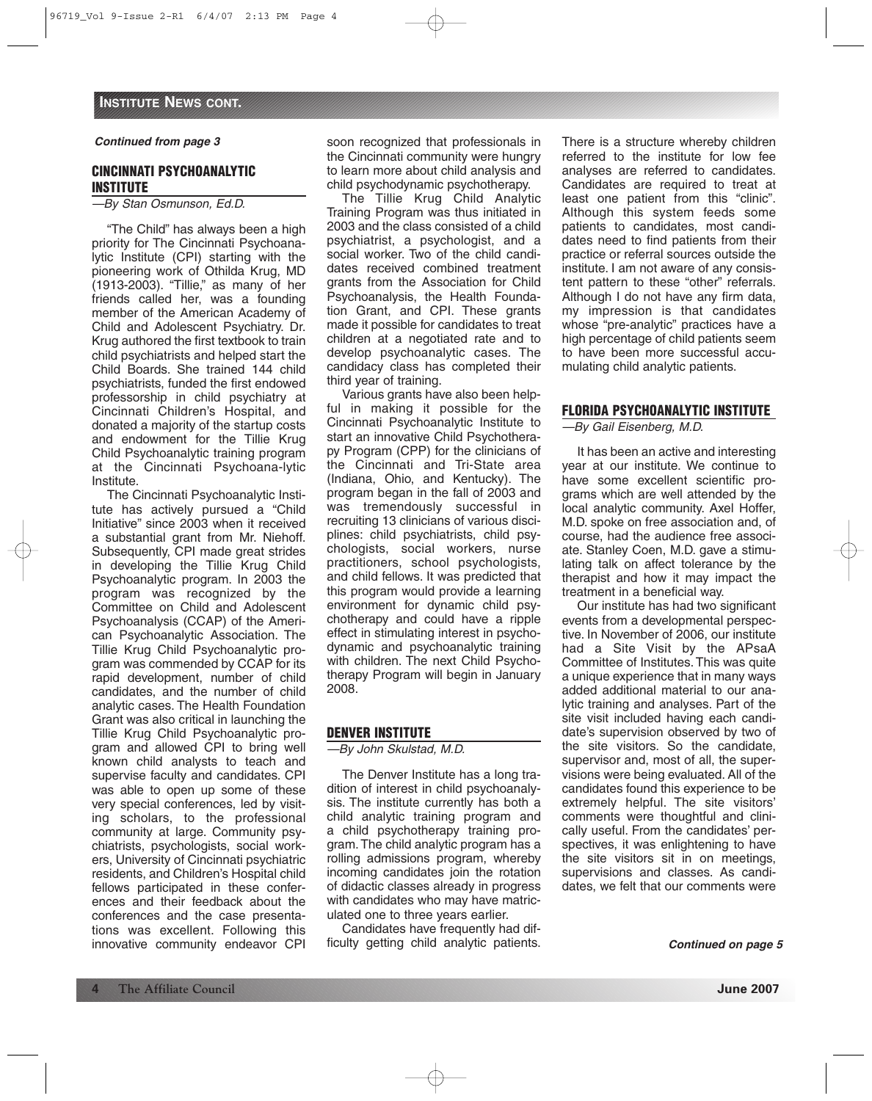# **CINCINNATI PSYCHOANALYTIC INSTITUTE**

—By Stan Osmunson, Ed.D.

"The Child" has always been a high priority for The Cincinnati Psychoanalytic Institute (CPI) starting with the pioneering work of Othilda Krug, MD (1913-2003). "Tillie," as many of her friends called her, was a founding member of the American Academy of Child and Adolescent Psychiatry. Dr. Krug authored the first textbook to train child psychiatrists and helped start the Child Boards. She trained 144 child psychiatrists, funded the first endowed professorship in child psychiatry at Cincinnati Children's Hospital, and donated a majority of the startup costs and endowment for the Tillie Krug Child Psychoanalytic training program at the Cincinnati Psychoana-lytic Institute.

The Cincinnati Psychoanalytic Institute has actively pursued a "Child Initiative" since 2003 when it received a substantial grant from Mr. Niehoff. Subsequently, CPI made great strides in developing the Tillie Krug Child Psychoanalytic program. In 2003 the program was recognized by the Committee on Child and Adolescent Psychoanalysis (CCAP) of the American Psychoanalytic Association. The Tillie Krug Child Psychoanalytic program was commended by CCAP for its rapid development, number of child candidates, and the number of child analytic cases. The Health Foundation Grant was also critical in launching the Tillie Krug Child Psychoanalytic program and allowed CPI to bring well known child analysts to teach and supervise faculty and candidates. CPI was able to open up some of these very special conferences, led by visiting scholars, to the professional community at large. Community psychiatrists, psychologists, social workers, University of Cincinnati psychiatric residents, and Children's Hospital child fellows participated in these conferences and their feedback about the conferences and the case presentations was excellent. Following this innovative community endeavor CPI

soon recognized that professionals in the Cincinnati community were hungry to learn more about child analysis and child psychodynamic psychotherapy.

The Tillie Krug Child Analytic Training Program was thus initiated in 2003 and the class consisted of a child psychiatrist, a psychologist, and a social worker. Two of the child candidates received combined treatment grants from the Association for Child Psychoanalysis, the Health Foundation Grant, and CPI. These grants made it possible for candidates to treat children at a negotiated rate and to develop psychoanalytic cases. The candidacy class has completed their third year of training.

Various grants have also been helpful in making it possible for the Cincinnati Psychoanalytic Institute to start an innovative Child Psychotherapy Program (CPP) for the clinicians of the Cincinnati and Tri-State area (Indiana, Ohio, and Kentucky). The program began in the fall of 2003 and was tremendously successful in recruiting 13 clinicians of various disciplines: child psychiatrists, child psychologists, social workers, nurse practitioners, school psychologists, and child fellows. It was predicted that this program would provide a learning environment for dynamic child psychotherapy and could have a ripple effect in stimulating interest in psychodynamic and psychoanalytic training with children. The next Child Psychotherapy Program will begin in January 2008.

### **DENVER INSTITUTE**

—By John Skulstad, M.D.

The Denver Institute has a long tradition of interest in child psychoanalysis. The institute currently has both a child analytic training program and a child psychotherapy training program.The child analytic program has a rolling admissions program, whereby incoming candidates join the rotation of didactic classes already in progress with candidates who may have matriculated one to three years earlier.

Candidates have frequently had difficulty getting child analytic patients.

There is a structure whereby children referred to the institute for low fee analyses are referred to candidates. Candidates are required to treat at least one patient from this "clinic". Although this system feeds some patients to candidates, most candidates need to find patients from their practice or referral sources outside the institute. I am not aware of any consistent pattern to these "other" referrals. Although I do not have any firm data, my impression is that candidates whose "pre-analytic" practices have a high percentage of child patients seem to have been more successful accumulating child analytic patients.

# **FLORIDA PSYCHOANALYTIC INSTITUTE**

—By Gail Eisenberg, M.D.

It has been an active and interesting year at our institute. We continue to have some excellent scientific programs which are well attended by the local analytic community. Axel Hoffer, M.D. spoke on free association and, of course, had the audience free associate. Stanley Coen, M.D. gave a stimulating talk on affect tolerance by the therapist and how it may impact the treatment in a beneficial way.

Our institute has had two significant events from a developmental perspective. In November of 2006, our institute had a Site Visit by the APsaA Committee of Institutes. This was quite a unique experience that in many ways added additional material to our analytic training and analyses. Part of the site visit included having each candidate's supervision observed by two of the site visitors. So the candidate, supervisor and, most of all, the supervisions were being evaluated. All of the candidates found this experience to be extremely helpful. The site visitors' comments were thoughtful and clinically useful. From the candidates' perspectives, it was enlightening to have the site visitors sit in on meetings, supervisions and classes. As candidates, we felt that our comments were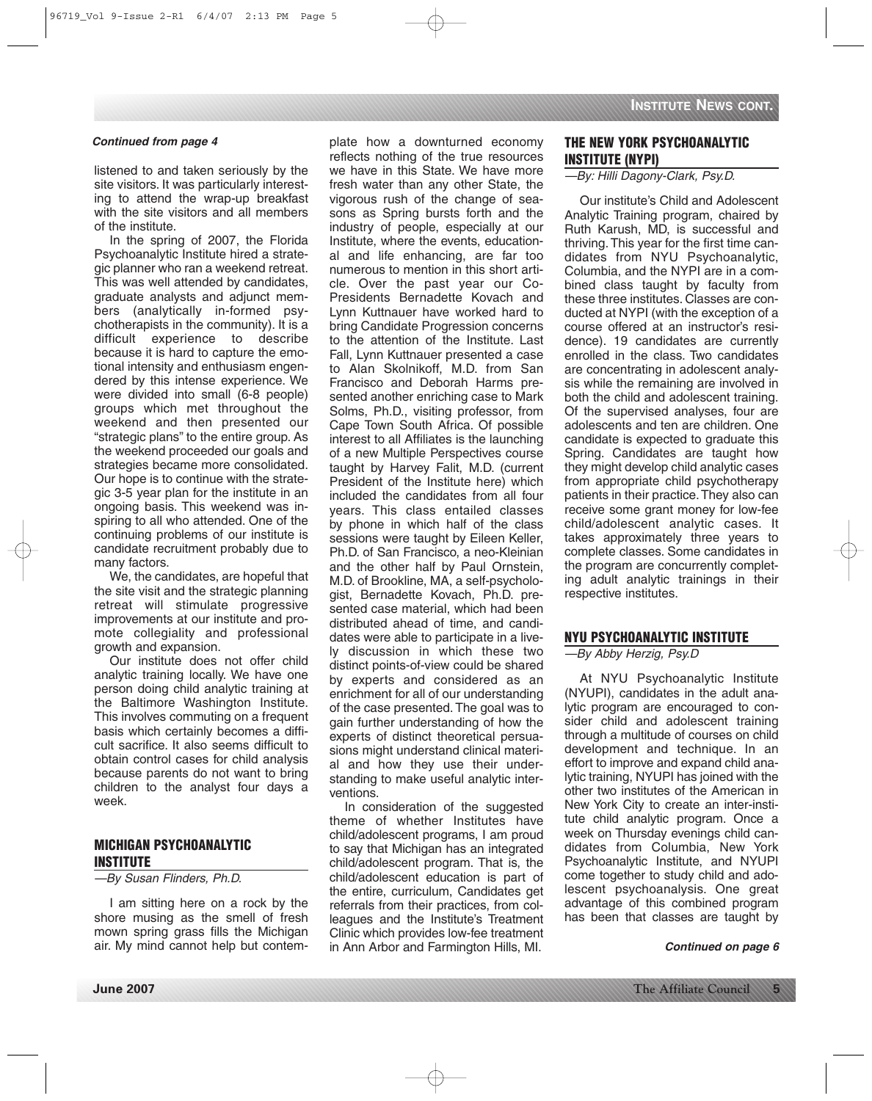listened to and taken seriously by the site visitors. It was particularly interesting to attend the wrap-up breakfast with the site visitors and all members of the institute.

In the spring of 2007, the Florida Psychoanalytic Institute hired a strategic planner who ran a weekend retreat. This was well attended by candidates, graduate analysts and adjunct members (analytically in-formed psychotherapists in the community). It is a difficult experience to describe because it is hard to capture the emotional intensity and enthusiasm engendered by this intense experience. We were divided into small (6-8 people) groups which met throughout the weekend and then presented our "strategic plans" to the entire group. As the weekend proceeded our goals and strategies became more consolidated. Our hope is to continue with the strategic 3-5 year plan for the institute in an ongoing basis. This weekend was inspiring to all who attended. One of the continuing problems of our institute is candidate recruitment probably due to many factors.

We, the candidates, are hopeful that the site visit and the strategic planning retreat will stimulate progressive improvements at our institute and promote collegiality and professional growth and expansion.

Our institute does not offer child analytic training locally. We have one person doing child analytic training at the Baltimore Washington Institute. This involves commuting on a frequent basis which certainly becomes a difficult sacrifice. It also seems difficult to obtain control cases for child analysis because parents do not want to bring children to the analyst four days a week.

# **MICHIGAN PSYCHOANALYTIC INSTITUTE**

—By Susan Flinders, Ph.D.

I am sitting here on a rock by the shore musing as the smell of fresh mown spring grass fills the Michigan air. My mind cannot help but contem-

**Continued from page 4 The System State How a downturned economy THE NEW YORK PSYCHOANALYTIC** reflects nothing of the true resources we have in this State. We have more fresh water than any other State, the vigorous rush of the change of seasons as Spring bursts forth and the industry of people, especially at our Institute, where the events, educational and life enhancing, are far too numerous to mention in this short article. Over the past year our Co-Presidents Bernadette Kovach and Lynn Kuttnauer have worked hard to bring Candidate Progression concerns to the attention of the Institute. Last Fall, Lynn Kuttnauer presented a case to Alan Skolnikoff, M.D. from San Francisco and Deborah Harms presented another enriching case to Mark Solms, Ph.D., visiting professor, from Cape Town South Africa. Of possible interest to all Affiliates is the launching of a new Multiple Perspectives course taught by Harvey Falit, M.D. (current President of the Institute here) which included the candidates from all four years. This class entailed classes by phone in which half of the class sessions were taught by Eileen Keller, Ph.D. of San Francisco, a neo-Kleinian and the other half by Paul Ornstein, M.D. of Brookline, MA, a self-psychologist, Bernadette Kovach, Ph.D. presented case material, which had been distributed ahead of time, and candidates were able to participate in a lively discussion in which these two distinct points-of-view could be shared by experts and considered as an enrichment for all of our understanding of the case presented. The goal was to gain further understanding of how the experts of distinct theoretical persuasions might understand clinical material and how they use their understanding to make useful analytic interventions.

> In consideration of the suggested theme of whether Institutes have child/adolescent programs, I am proud to say that Michigan has an integrated child/adolescent program. That is, the child/adolescent education is part of the entire, curriculum, Candidates get referrals from their practices, from colleagues and the Institute's Treatment Clinic which provides low-fee treatment in Ann Arbor and Farmington Hills, MI.

# **INSTITUTE (NYPI)**

### —By: Hilli Dagony-Clark, Psy.D.

Our institute's Child and Adolescent Analytic Training program, chaired by Ruth Karush, MD, is successful and thriving. This year for the first time candidates from NYU Psychoanalytic, Columbia, and the NYPI are in a combined class taught by faculty from these three institutes. Classes are conducted at NYPI (with the exception of a course offered at an instructor's residence). 19 candidates are currently enrolled in the class. Two candidates are concentrating in adolescent analysis while the remaining are involved in both the child and adolescent training. Of the supervised analyses, four are adolescents and ten are children. One candidate is expected to graduate this Spring. Candidates are taught how they might develop child analytic cases from appropriate child psychotherapy patients in their practice.They also can receive some grant money for low-fee child/adolescent analytic cases. It takes approximately three years to complete classes. Some candidates in the program are concurrently completing adult analytic trainings in their respective institutes.

### **NYU PSYCHOANALYTIC INSTITUTE**

—By Abby Herzig, Psy.D

At NYU Psychoanalytic Institute (NYUPI), candidates in the adult analytic program are encouraged to consider child and adolescent training through a multitude of courses on child development and technique. In an effort to improve and expand child analytic training, NYUPI has joined with the other two institutes of the American in New York City to create an inter-institute child analytic program. Once a week on Thursday evenings child candidates from Columbia, New York Psychoanalytic Institute, and NYUPI come together to study child and adolescent psychoanalysis. One great advantage of this combined program has been that classes are taught by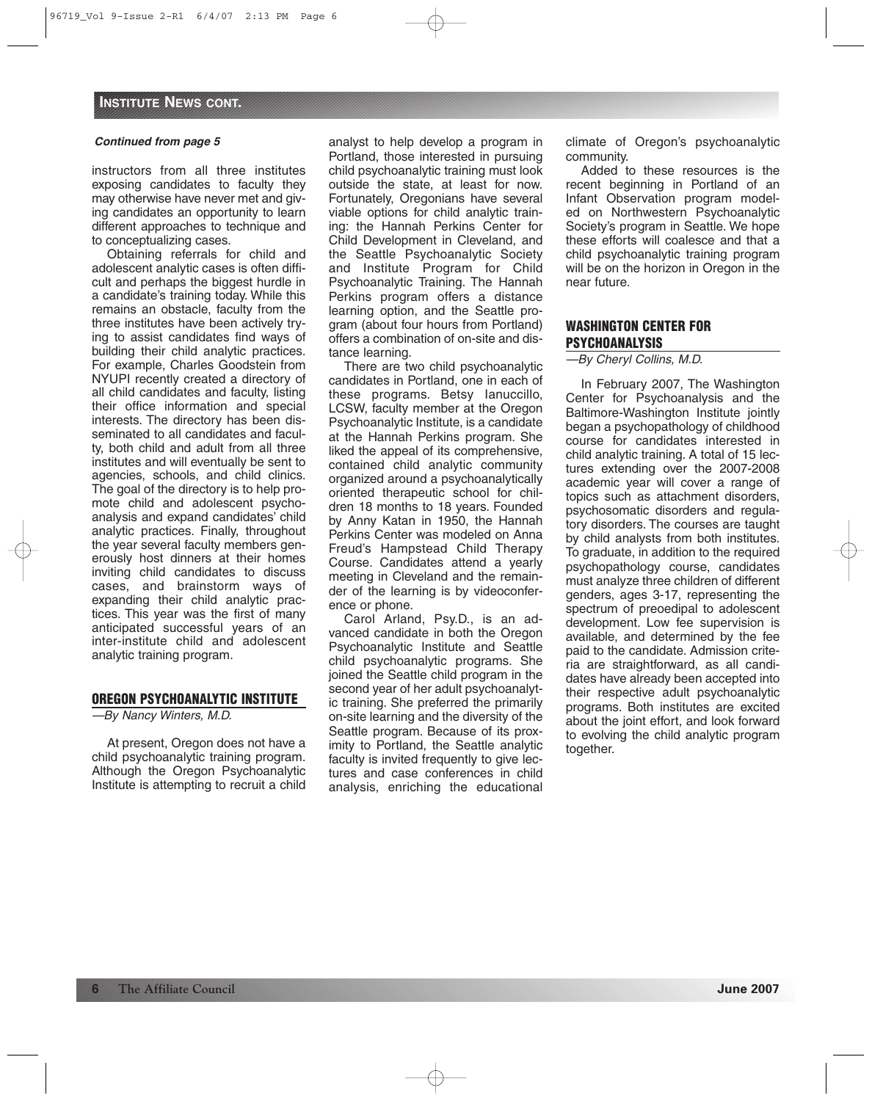instructors from all three institutes exposing candidates to faculty they may otherwise have never met and giving candidates an opportunity to learn different approaches to technique and to conceptualizing cases.

Obtaining referrals for child and adolescent analytic cases is often difficult and perhaps the biggest hurdle in a candidate's training today. While this remains an obstacle, faculty from the three institutes have been actively trying to assist candidates find ways of building their child analytic practices. For example, Charles Goodstein from NYUPI recently created a directory of all child candidates and faculty, listing their office information and special interests. The directory has been disseminated to all candidates and faculty, both child and adult from all three institutes and will eventually be sent to agencies, schools, and child clinics. The goal of the directory is to help promote child and adolescent psychoanalysis and expand candidates' child analytic practices. Finally, throughout the year several faculty members generously host dinners at their homes inviting child candidates to discuss cases, and brainstorm ways of expanding their child analytic practices. This year was the first of many anticipated successful years of an inter-institute child and adolescent analytic training program.

#### **OREGON PSYCHOANALYTIC INSTITUTE**

—By Nancy Winters, M.D.

At present, Oregon does not have a child psychoanalytic training program. Although the Oregon Psychoanalytic Institute is attempting to recruit a child analyst to help develop a program in Portland, those interested in pursuing child psychoanalytic training must look outside the state, at least for now. Fortunately, Oregonians have several viable options for child analytic training: the Hannah Perkins Center for Child Development in Cleveland, and the Seattle Psychoanalytic Society and Institute Program for Child Psychoanalytic Training. The Hannah Perkins program offers a distance learning option, and the Seattle program (about four hours from Portland) offers a combination of on-site and distance learning.

There are two child psychoanalytic candidates in Portland, one in each of these programs. Betsy Ianuccillo, LCSW, faculty member at the Oregon Psychoanalytic Institute, is a candidate at the Hannah Perkins program. She liked the appeal of its comprehensive, contained child analytic community organized around a psychoanalytically oriented therapeutic school for children 18 months to 18 years. Founded by Anny Katan in 1950, the Hannah Perkins Center was modeled on Anna Freud's Hampstead Child Therapy Course. Candidates attend a yearly meeting in Cleveland and the remainder of the learning is by videoconference or phone.

Carol Arland, Psy.D., is an advanced candidate in both the Oregon Psychoanalytic Institute and Seattle child psychoanalytic programs. She joined the Seattle child program in the second year of her adult psychoanalytic training. She preferred the primarily on-site learning and the diversity of the Seattle program. Because of its proximity to Portland, the Seattle analytic faculty is invited frequently to give lectures and case conferences in child analysis, enriching the educational climate of Oregon's psychoanalytic community.

Added to these resources is the recent beginning in Portland of an Infant Observation program modeled on Northwestern Psychoanalytic Society's program in Seattle. We hope these efforts will coalesce and that a child psychoanalytic training program will be on the horizon in Oregon in the near future.

#### **WASHINGTON CENTER FOR PSYCHOANALYSIS**

—By Cheryl Collins, M.D.

In February 2007, The Washington Center for Psychoanalysis and the Baltimore-Washington Institute jointly began a psychopathology of childhood course for candidates interested in child analytic training. A total of 15 lectures extending over the 2007-2008 academic year will cover a range of topics such as attachment disorders, psychosomatic disorders and regulatory disorders. The courses are taught by child analysts from both institutes. To graduate, in addition to the required psychopathology course, candidates must analyze three children of different genders, ages 3-17, representing the spectrum of preoedipal to adolescent development. Low fee supervision is available, and determined by the fee paid to the candidate. Admission criteria are straightforward, as all candidates have already been accepted into their respective adult psychoanalytic programs. Both institutes are excited about the joint effort, and look forward to evolving the child analytic program together.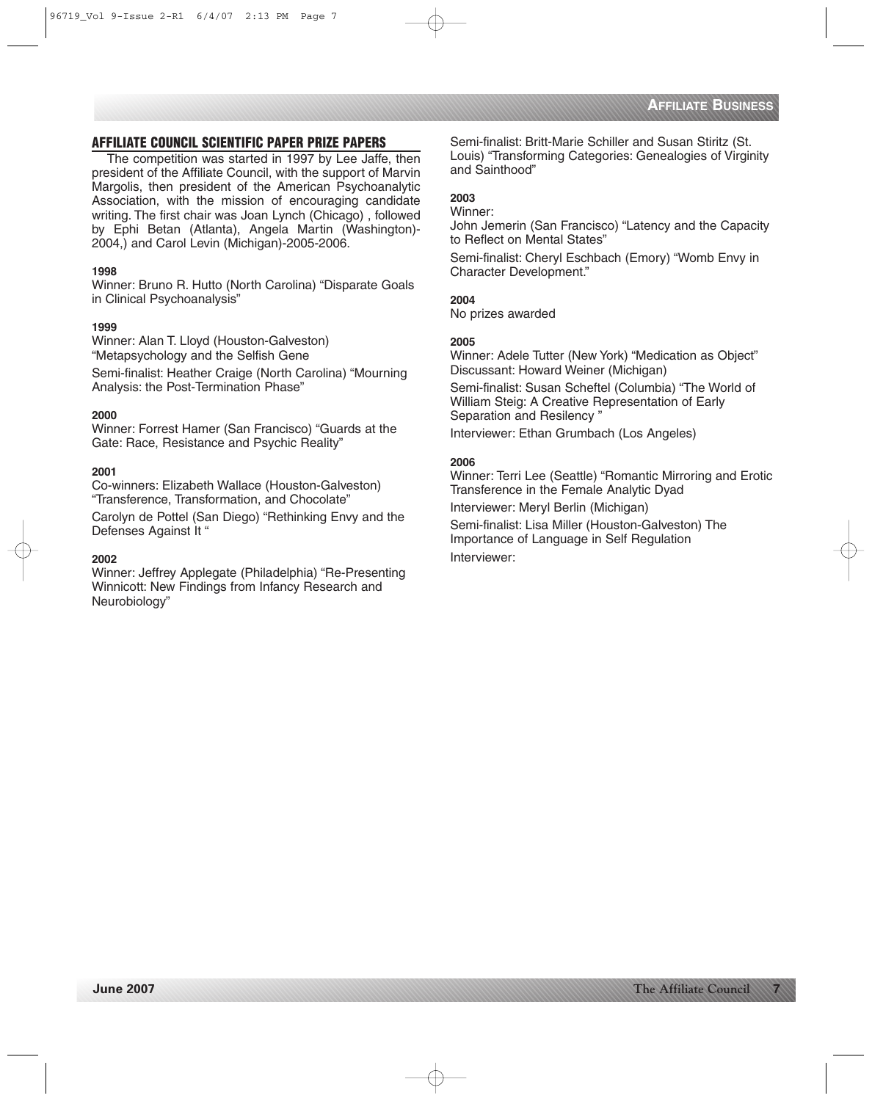# **AFFILIATE COUNCIL SCIENTIFIC PAPER PRIZE PAPERS**

The competition was started in 1997 by Lee Jaffe, then president of the Affiliate Council, with the support of Marvin Margolis, then president of the American Psychoanalytic Association, with the mission of encouraging candidate writing. The first chair was Joan Lynch (Chicago) , followed by Ephi Betan (Atlanta), Angela Martin (Washington)- 2004,) and Carol Levin (Michigan)-2005-2006.

#### **1998**

Winner: Bruno R. Hutto (North Carolina) "Disparate Goals in Clinical Psychoanalysis"

#### **1999**

Winner: Alan T. Lloyd (Houston-Galveston) "Metapsychology and the Selfish Gene

Semi-finalist: Heather Craige (North Carolina) "Mourning Analysis: the Post-Termination Phase"

#### **2000**

Winner: Forrest Hamer (San Francisco) "Guards at the Gate: Race, Resistance and Psychic Reality"

#### **2001**

Co-winners: Elizabeth Wallace (Houston-Galveston) "Transference, Transformation, and Chocolate"

Carolyn de Pottel (San Diego) "Rethinking Envy and the Defenses Against It "

#### **2002**

Winner: Jeffrey Applegate (Philadelphia) "Re-Presenting Winnicott: New Findings from Infancy Research and Neurobiology"

Semi-finalist: Britt-Marie Schiller and Susan Stiritz (St. Louis) "Transforming Categories: Genealogies of Virginity and Sainthood"

# **2003**

Winner:

John Jemerin (San Francisco) "Latency and the Capacity to Reflect on Mental States"

Semi-finalist: Cheryl Eschbach (Emory) "Womb Envy in Character Development."

# **2004**

No prizes awarded

#### **2005**

Winner: Adele Tutter (New York) "Medication as Object" Discussant: Howard Weiner (Michigan) Semi-finalist: Susan Scheftel (Columbia) "The World of William Steig: A Creative Representation of Early Separation and Resilency " Interviewer: Ethan Grumbach (Los Angeles)

#### **2006**

Winner: Terri Lee (Seattle) "Romantic Mirroring and Erotic Transference in the Female Analytic Dyad

Interviewer: Meryl Berlin (Michigan)

Semi-finalist: Lisa Miller (Houston-Galveston) The Importance of Language in Self Regulation Interviewer: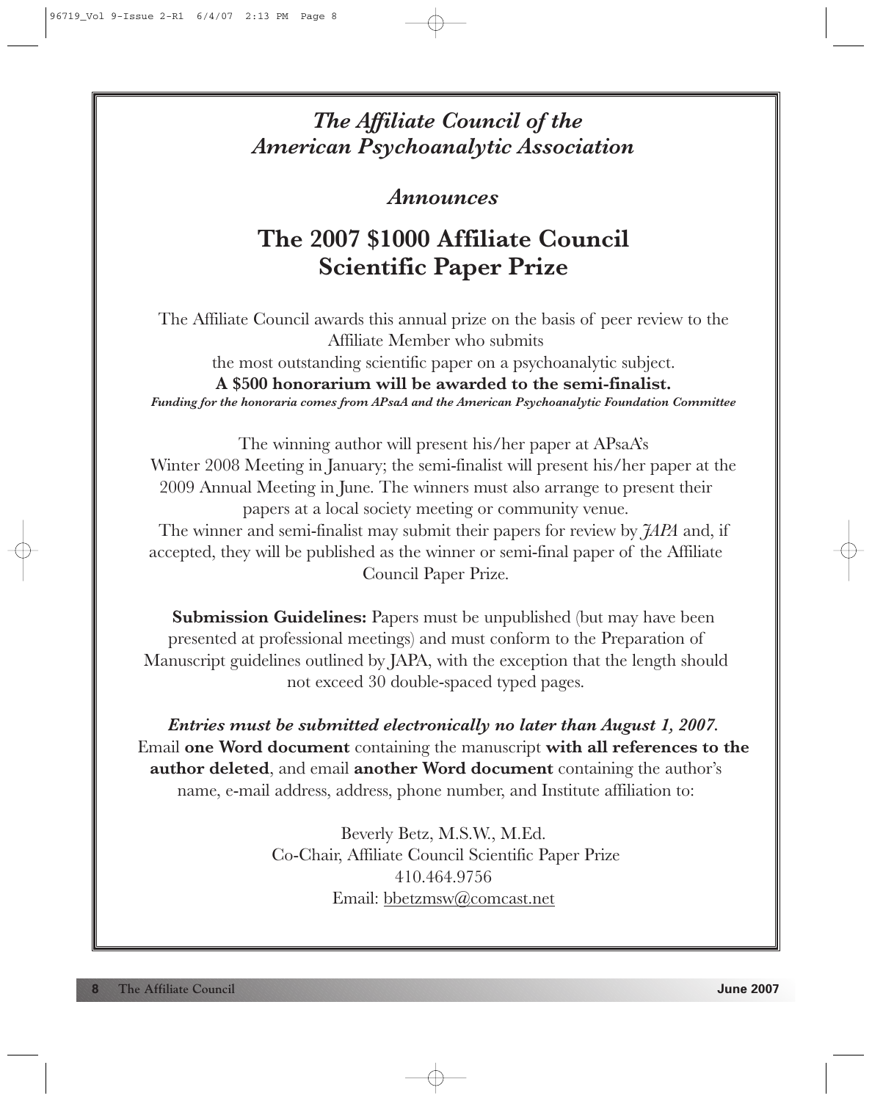# *The Affiliate Council of the American Psychoanalytic Association*

# *Announces*

# **The 2007 \$1000 Affiliate Council Scientific Paper Prize**

The Affiliate Council awards this annual prize on the basis of peer review to the Affiliate Member who submits the most outstanding scientific paper on a psychoanalytic subject. **A \$500 honorarium will be awarded to the semi-finalist.**  *Funding for the honoraria comes from APsaA and the American Psychoanalytic Foundation Committee*

The winning author will present his/her paper at APsaA's Winter 2008 Meeting in January; the semi-finalist will present his/her paper at the 2009 Annual Meeting in June. The winners must also arrange to present their papers at a local society meeting or community venue. The winner and semi-finalist may submit their papers for review by *JAPA* and, if accepted, they will be published as the winner or semi-final paper of the Affiliate Council Paper Prize.

**Submission Guidelines:** Papers must be unpublished (but may have been presented at professional meetings) and must conform to the Preparation of Manuscript guidelines outlined by JAPA, with the exception that the length should not exceed 30 double-spaced typed pages.

*Entries must be submitted electronically no later than August 1, 2007.* Email **one Word document** containing the manuscript **with all references to the author deleted**, and email **another Word document** containing the author's name, e-mail address, address, phone number, and Institute affiliation to:

> Beverly Betz, M.S.W., M.Ed. Co-Chair, Affiliate Council Scientific Paper Prize 410.464.9756 Email: bbetzmsw@comcast.net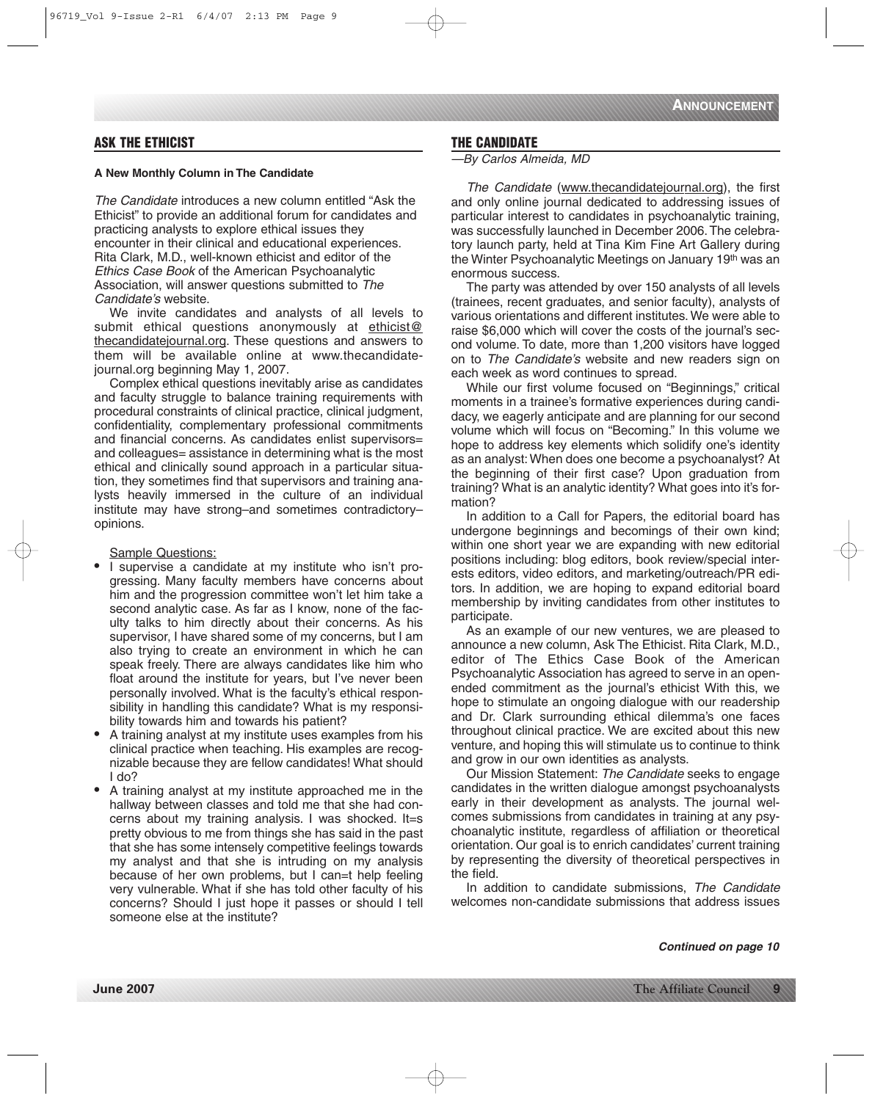# **ASK THE ETHICIST**

#### **A New Monthly Column in The Candidate**

The Candidate introduces a new column entitled "Ask the Ethicist" to provide an additional forum for candidates and practicing analysts to explore ethical issues they encounter in their clinical and educational experiences. Rita Clark, M.D., well-known ethicist and editor of the Ethics Case Book of the American Psychoanalytic Association, will answer questions submitted to The Candidate's website.

We invite candidates and analysts of all levels to submit ethical questions anonymously at ethicist@ thecandidatejournal.org. These questions and answers to them will be available online at www.thecandidatejournal.org beginning May 1, 2007.

Complex ethical questions inevitably arise as candidates and faculty struggle to balance training requirements with procedural constraints of clinical practice, clinical judgment, confidentiality, complementary professional commitments and financial concerns. As candidates enlist supervisors= and colleagues= assistance in determining what is the most ethical and clinically sound approach in a particular situation, they sometimes find that supervisors and training analysts heavily immersed in the culture of an individual institute may have strong–and sometimes contradictory– opinions.

#### Sample Questions:

- I supervise a candidate at my institute who isn't progressing. Many faculty members have concerns about him and the progression committee won't let him take a second analytic case. As far as I know, none of the faculty talks to him directly about their concerns. As his supervisor, I have shared some of my concerns, but I am also trying to create an environment in which he can speak freely. There are always candidates like him who float around the institute for years, but I've never been personally involved. What is the faculty's ethical responsibility in handling this candidate? What is my responsibility towards him and towards his patient?
- A training analyst at my institute uses examples from his clinical practice when teaching. His examples are recognizable because they are fellow candidates! What should I do?
- A training analyst at my institute approached me in the hallway between classes and told me that she had concerns about my training analysis. I was shocked. It=s pretty obvious to me from things she has said in the past that she has some intensely competitive feelings towards my analyst and that she is intruding on my analysis because of her own problems, but I can=t help feeling very vulnerable. What if she has told other faculty of his concerns? Should I just hope it passes or should I tell someone else at the institute?

## **THE CANDIDATE**

—By Carlos Almeida, MD

The Candidate (www.thecandidatejournal.org), the first and only online journal dedicated to addressing issues of particular interest to candidates in psychoanalytic training, was successfully launched in December 2006.The celebratory launch party, held at Tina Kim Fine Art Gallery during the Winter Psychoanalytic Meetings on January 19th was an enormous success.

The party was attended by over 150 analysts of all levels (trainees, recent graduates, and senior faculty), analysts of various orientations and different institutes. We were able to raise \$6,000 which will cover the costs of the journal's second volume. To date, more than 1,200 visitors have logged on to The Candidate's website and new readers sign on each week as word continues to spread.

While our first volume focused on "Beginnings," critical moments in a trainee's formative experiences during candidacy, we eagerly anticipate and are planning for our second volume which will focus on "Becoming." In this volume we hope to address key elements which solidify one's identity as an analyst: When does one become a psychoanalyst? At the beginning of their first case? Upon graduation from training? What is an analytic identity? What goes into it's formation?

In addition to a Call for Papers, the editorial board has undergone beginnings and becomings of their own kind; within one short year we are expanding with new editorial positions including: blog editors, book review/special interests editors, video editors, and marketing/outreach/PR editors. In addition, we are hoping to expand editorial board membership by inviting candidates from other institutes to participate.

As an example of our new ventures, we are pleased to announce a new column, Ask The Ethicist. Rita Clark, M.D., editor of The Ethics Case Book of the American Psychoanalytic Association has agreed to serve in an openended commitment as the journal's ethicist With this, we hope to stimulate an ongoing dialogue with our readership and Dr. Clark surrounding ethical dilemma's one faces throughout clinical practice. We are excited about this new venture, and hoping this will stimulate us to continue to think and grow in our own identities as analysts.

Our Mission Statement: The Candidate seeks to engage candidates in the written dialogue amongst psychoanalysts early in their development as analysts. The journal welcomes submissions from candidates in training at any psychoanalytic institute, regardless of affiliation or theoretical orientation. Our goal is to enrich candidates' current training by representing the diversity of theoretical perspectives in the field.

In addition to candidate submissions, The Candidate welcomes non-candidate submissions that address issues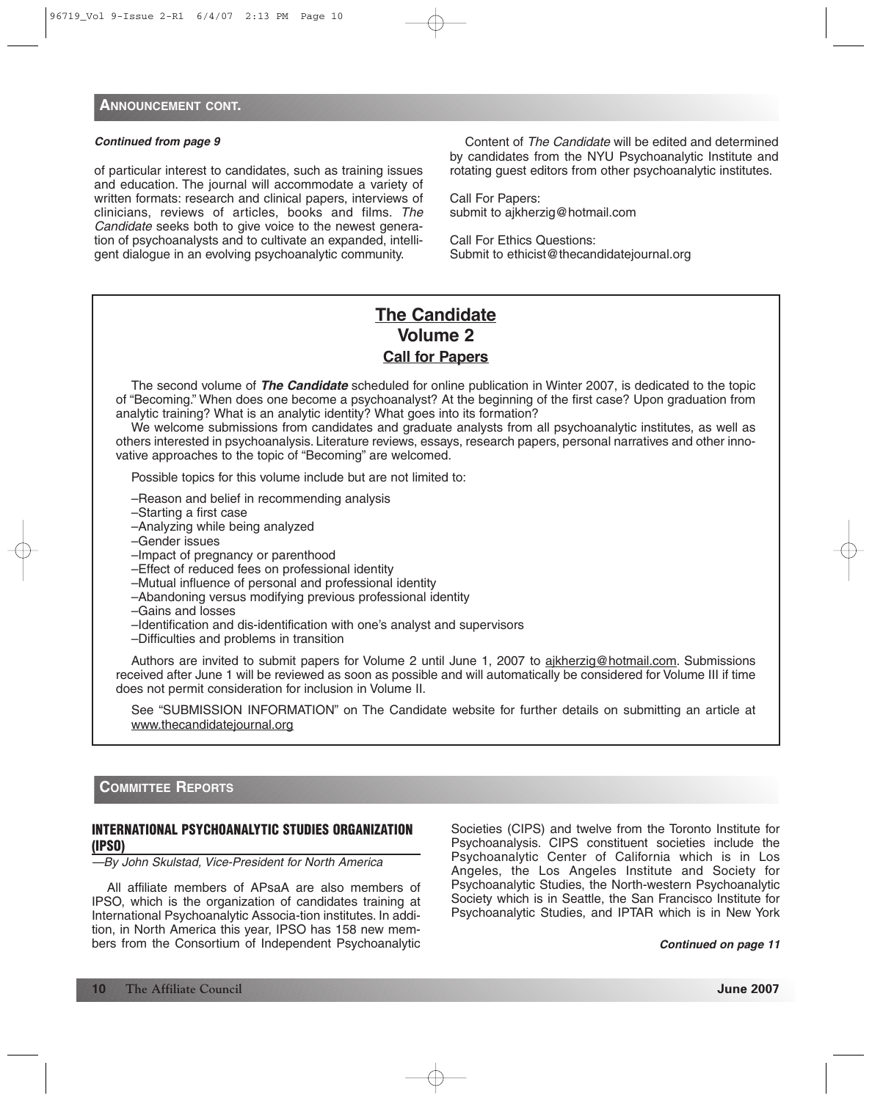of particular interest to candidates, such as training issues and education. The journal will accommodate a variety of written formats: research and clinical papers, interviews of clinicians, reviews of articles, books and films. The Candidate seeks both to give voice to the newest generation of psychoanalysts and to cultivate an expanded, intelligent dialogue in an evolving psychoanalytic community.

Content of The Candidate will be edited and determined by candidates from the NYU Psychoanalytic Institute and rotating guest editors from other psychoanalytic institutes.

Call For Papers: submit to ajkherzig@hotmail.com

Call For Ethics Questions: Submit to ethicist@thecandidatejournal.org

# **The Candidate Volume 2 Call for Papers**

The second volume of *The Candidate* scheduled for online publication in Winter 2007, is dedicated to the topic of "Becoming." When does one become a psychoanalyst? At the beginning of the first case? Upon graduation from analytic training? What is an analytic identity? What goes into its formation?

We welcome submissions from candidates and graduate analysts from all psychoanalytic institutes, as well as others interested in psychoanalysis. Literature reviews, essays, research papers, personal narratives and other innovative approaches to the topic of "Becoming" are welcomed.

Possible topics for this volume include but are not limited to:

- –Reason and belief in recommending analysis
- –Starting a first case
- –Analyzing while being analyzed
- –Gender issues
- –Impact of pregnancy or parenthood
- –Effect of reduced fees on professional identity
- –Mutual influence of personal and professional identity
- –Abandoning versus modifying previous professional identity
- –Gains and losses
- –Identification and dis-identification with one's analyst and supervisors
- –Difficulties and problems in transition

Authors are invited to submit papers for Volume 2 until June 1, 2007 to ajkherzig@hotmail.com. Submissions received after June 1 will be reviewed as soon as possible and will automatically be considered for Volume III if time does not permit consideration for inclusion in Volume II.

See "SUBMISSION INFORMATION" on The Candidate website for further details on submitting an article at www.thecandidatejournal.org

## **COMMITTEE REPORTS**

## **INTERNATIONAL PSYCHOANALYTIC STUDIES ORGANIZATION (IPSO)**

—By John Skulstad, Vice-President for North America

All affiliate members of APsaA are also members of IPSO, which is the organization of candidates training at International Psychoanalytic Associa-tion institutes. In addition, in North America this year, IPSO has 158 new members from the Consortium of Independent Psychoanalytic

Societies (CIPS) and twelve from the Toronto Institute for Psychoanalysis. CIPS constituent societies include the Psychoanalytic Center of California which is in Los Angeles, the Los Angeles Institute and Society for Psychoanalytic Studies, the North-western Psychoanalytic Society which is in Seattle, the San Francisco Institute for Psychoanalytic Studies, and IPTAR which is in New York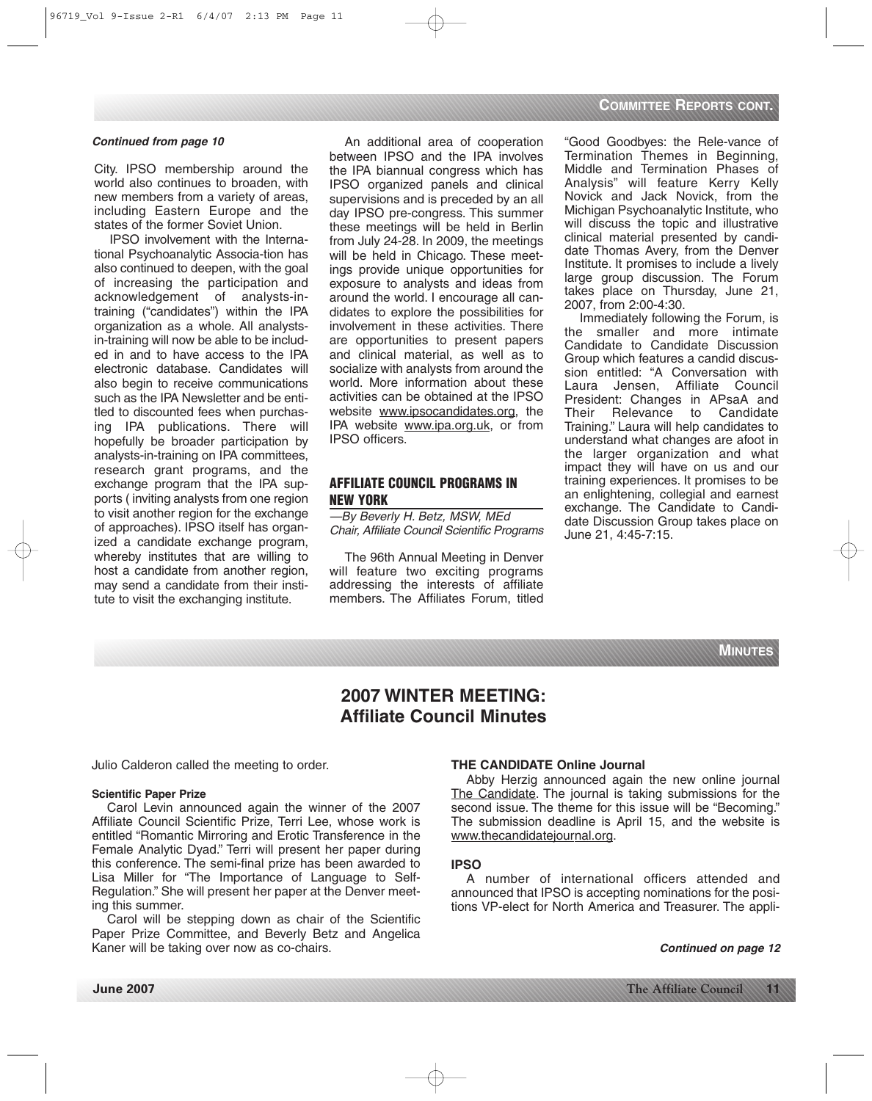City. IPSO membership around the world also continues to broaden, with new members from a variety of areas, including Eastern Europe and the states of the former Soviet Union.

IPSO involvement with the International Psychoanalytic Associa-tion has also continued to deepen, with the goal of increasing the participation and acknowledgement of analysts-intraining ("candidates") within the IPA organization as a whole. All analystsin-training will now be able to be included in and to have access to the IPA electronic database. Candidates will also begin to receive communications such as the IPA Newsletter and be entitled to discounted fees when purchasing IPA publications. There will hopefully be broader participation by analysts-in-training on IPA committees, research grant programs, and the exchange program that the IPA supports ( inviting analysts from one region to visit another region for the exchange of approaches). IPSO itself has organized a candidate exchange program, whereby institutes that are willing to host a candidate from another region, may send a candidate from their institute to visit the exchanging institute.

An additional area of cooperation between IPSO and the IPA involves the IPA biannual congress which has IPSO organized panels and clinical supervisions and is preceded by an all day IPSO pre-congress. This summer these meetings will be held in Berlin from July 24-28. In 2009, the meetings will be held in Chicago. These meetings provide unique opportunities for exposure to analysts and ideas from around the world. I encourage all candidates to explore the possibilities for involvement in these activities. There are opportunities to present papers and clinical material, as well as to socialize with analysts from around the world. More information about these activities can be obtained at the IPSO website www.ipsocandidates.org, the IPA website www.ipa.org.uk, or from IPSO officers.

# **AFFILIATE COUNCIL PROGRAMS IN NEW YORK**

—By Beverly H. Betz, MSW, MEd Chair, Affiliate Council Scientific Programs

The 96th Annual Meeting in Denver will feature two exciting programs addressing the interests of affiliate members. The Affiliates Forum, titled

"Good Goodbyes: the Rele-vance of Termination Themes in Beginning, Middle and Termination Phases of Analysis" will feature Kerry Kelly Novick and Jack Novick, from the Michigan Psychoanalytic Institute, who will discuss the topic and illustrative clinical material presented by candidate Thomas Avery, from the Denver Institute. It promises to include a lively large group discussion. The Forum takes place on Thursday, June 21, 2007, from 2:00-4:30.

Immediately following the Forum, is the smaller and more intimate Candidate to Candidate Discussion Group which features a candid discussion entitled: "A Conversation with Laura Jensen, Affiliate Council President: Changes in APsaA and Their Relevance to Candidate Training." Laura will help candidates to understand what changes are afoot in the larger organization and what impact they will have on us and our training experiences. It promises to be an enlightening, collegial and earnest exchange. The Candidate to Candidate Discussion Group takes place on June 21, 4:45-7:15.



# **2007 WINTER MEETING: Affiliate Council Minutes**

Julio Calderon called the meeting to order.

#### **Scientific Paper Prize**

Carol Levin announced again the winner of the 2007 Affiliate Council Scientific Prize, Terri Lee, whose work is entitled "Romantic Mirroring and Erotic Transference in the Female Analytic Dyad." Terri will present her paper during this conference. The semi-final prize has been awarded to Lisa Miller for "The Importance of Language to Self-Regulation." She will present her paper at the Denver meeting this summer.

Carol will be stepping down as chair of the Scientific Paper Prize Committee, and Beverly Betz and Angelica Kaner will be taking over now as co-chairs.

#### **THE CANDIDATE Online Journal**

Abby Herzig announced again the new online journal The Candidate. The journal is taking submissions for the second issue. The theme for this issue will be "Becoming." The submission deadline is April 15, and the website is www.thecandidatejournal.org.

#### **IPSO**

A number of international officers attended and announced that IPSO is accepting nominations for the positions VP-elect for North America and Treasurer. The appli-